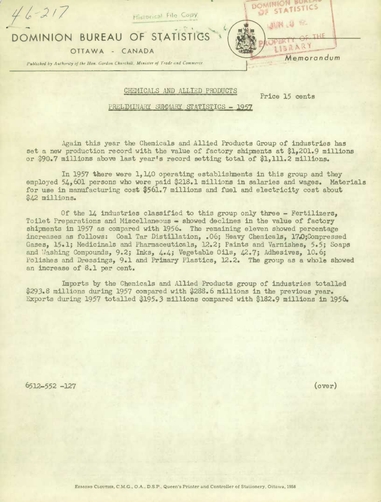

CHEMICALS AND ALLIED PRODUCTS

Price 15 cents

## PRELIMIMARY SUMMARY STATISTICS - 1957

Again this year the Chemicals and Allied Products Group of industries has set a new production record with the value of factory shipments at \$1,201.9 millions or \$90.7 millions above last year's record setting total of \$1.111.2 millions.

In 1957 there were 1, 140 operating establishments in this group and they employed 54,601 persons who were paid \$218.1 millions in salaries and wages. Materials for use in manufacturing cost \$561.7 millions and fuel and electricity cost about \$42 millions.

Of the 14 industries classified to this group only three - Fertilizers, Toilet Preparations and Miscellaneous - showed declines in the value of factory shipments in 1957 as compared with 1956. The remaining eleven showed percentage increases as follows: Coal Tar Distillation, .06; Heavy Chemicals, 17.0;Compressed Gases, 15.1; Medicinals and Pharmaceuticals, 12.2; Paints and Varnishes, 5.5; Soaps and Mashing Compounds, 9.2; Inks,  $4.4$ ; Vegetable Oils,  $42.7$ ; Adhesives, 10.6; Polishes and Dressings, 9.1 and Primary Plastics, 12.2. The group as a whole showed an increase of 8.1 per cent.

Imports by the Chemicals and Allied Products group of industries totalled \$293.8 millions during 1957 compared with \$288.6 millions in the previous year. Exports during 1957 totalled \$195.3 millions compared with \$182.9 millions in 1956.

 $6512 - 552 - 127$ 

 $(over)$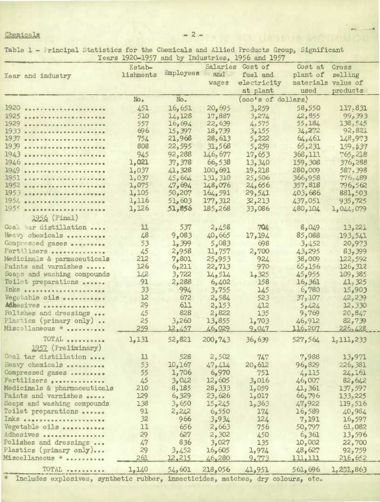Chemicals

Table 1 - Principal Statistics for the Chemicals and Allied Products Group, Significant Years 1920-1957 and by Industries, 1956 and *1957* -

|                              |           |           |          | $\pm$ car b $\pm$ / $\sim$ $\pm$ / $\sim$ f card by the disc of tops $\pm$ / $\sim$ card $\pm$ / $\sim$ |           |             |  |
|------------------------------|-----------|-----------|----------|---------------------------------------------------------------------------------------------------------|-----------|-------------|--|
|                              | Estab-    |           | Salaries | Cost of                                                                                                 | Cost at   | Gross       |  |
| Year and industry            | lishments | Employees | and      | fuel and                                                                                                | plant of  | selling     |  |
|                              |           |           | wages    | electricity                                                                                             | materials | value of    |  |
|                              |           |           |          | at plant                                                                                                | used      | products    |  |
|                              | No.       | No.       |          | (ooo's of dollars)                                                                                      |           |             |  |
| 1920 0000000000000000000000  | 451       | 16,651    | 20,695   | 3,259                                                                                                   | 58,550    | 117,831     |  |
| 1925                         | 510       | 14,128    | 17,887   | 3,274                                                                                                   | 42,855    | 99,393      |  |
| 1929                         | 557       | 16,694    | 22,639   | 4,575                                                                                                   | 55,184    | 138,545     |  |
| 1933                         | 696       | 15,397    | 18,739   | 3,155                                                                                                   | 34,272    | 92,821      |  |
| 1937                         | 754       | 21,968    | 28,613   | 5,222                                                                                                   | 64,461    | 148,973     |  |
| 1939                         | 808       | 22,595    | 31,568   | 5,259                                                                                                   | 65,231    | 159, 537    |  |
| 1943                         | 945       | 92,288    | 146,677  | 17,653                                                                                                  | 368,111   | 765,218     |  |
| 1946                         | 1,021     | 37,378    | 66, 538  | 13,340                                                                                                  | 159,308   | 376,288     |  |
| 1949                         | 1,037     | 41,328    | 100,691  | 19,218                                                                                                  | 280,009   | 587, 398    |  |
| 1951                         | 1,037     | 45,664    | 131, 310 | 25,506                                                                                                  | 366,958   | 776,489     |  |
| 1952                         | 1,075     | 47,694    | 148,076  | 24,656                                                                                                  | 357,818   | 796,562     |  |
| 1953                         | 1,105     | 50,207    | 164,591  | 29,541                                                                                                  | 403,686   | 881,503     |  |
|                              | 1,116     | 51,603    | 177,312  | 32,213                                                                                                  | 437,051   | 935,725     |  |
| 1955                         | 1,126     | 51,856    | 185,268  | 33,086                                                                                                  | 480,104   |             |  |
|                              |           |           |          |                                                                                                         |           | 1,044,079   |  |
| 1956 (Final)                 |           |           |          |                                                                                                         |           |             |  |
| Coal ar distillation         | п         | 537       | 2,458    | 704                                                                                                     | 8,049     | 13,221      |  |
| Heavy chemicals              | 48        | 9,083     | 40,665   | 17, 194                                                                                                 | 85,088    | 193,541     |  |
| Compressed gases             | 53        | 1,399     | 5,083    | 698                                                                                                     | 3,452     | 20,973      |  |
| Fertilizers                  | 45        | 2,958     | 11,757   | 2,700                                                                                                   | 43,295    | 83,399      |  |
| Medicinals & parmaceuticals  | 212       | 7,801     | 25,953   | 924                                                                                                     | 38,009    | 122,592     |  |
| Paints and varnishes         | 126       | 6,211     | 22,713   | 970                                                                                                     | 65,156    | 126, 312    |  |
| Soaps and washing compounds  | 1/2       | 3,722     | 14,514   | 1,325                                                                                                   | 45,955    | 109,385     |  |
| Toilet preparations          | 91        | 2,288     | 6,402    | 158                                                                                                     | 16,361    | 41,325      |  |
| Inks                         | 33        | 994       | 3,755    | 145                                                                                                     | 6,780     | 15,903      |  |
| Vegetable oils               | 12        | 672       | 2,584    | 523                                                                                                     | 37, 107   | 42,239      |  |
| Adbesives                    | 29        | 611       | 2,153    | 412                                                                                                     | 5,424     | 12,330      |  |
| Polishes and dressings       | 45        | 828       | 2,822    | 135                                                                                                     | 9,769     | 20,847      |  |
| Plastics (primary only)      | 25        | 3,260     | 13,855   | 1,703                                                                                                   | 46,912    | 82,739      |  |
| Miscallaneous *              | 259       | 12.457    | 46.029   | 9.047                                                                                                   | 116,207   | 225.428     |  |
|                              |           |           |          |                                                                                                         |           |             |  |
| TOTAL                        | 1,131     | 52,821    | 200, 743 | 36,639                                                                                                  | 527,564   | 1, 111, 233 |  |
| 1957 (Preliminary)           |           |           |          |                                                                                                         |           |             |  |
| Coal tar distillation        | 11        | 528       | 2,502    | $74$ ?                                                                                                  | 7,988     | 13,971      |  |
| Heavy chemicals              | 53        | 10, 167   | 47,414   | 20,612                                                                                                  | 96,829    | 226, 381    |  |
| Compressed gases             | 55        | 1,706     | 6,970    | 751                                                                                                     | 4,115     | 24,161      |  |
| Fertilizers,                 | 45        | 3,042     | 12,605   | 3,016                                                                                                   | 46,007    | 82,642      |  |
| Medicinals & pharmaceuticals | 210       | 8,185     | 28,333   | 1,059                                                                                                   | 41,361    | 137,597     |  |
| Paints and varnishes         | 129       | 6,329     | 23,626   | 1,017                                                                                                   | 66,796    | 133,225     |  |
| Soaps and washing compounds  | 138       | 3,650     | 15,245   | 1,363                                                                                                   | 47,922    | 119,516     |  |
| Toilet preparations          | 91        | 2,242     | 6,550    | 174                                                                                                     | 16,589    | 40,984      |  |
| Inks                         | 32        | 966       | 3,934    | 124                                                                                                     | 7,191     | 16,597      |  |
| Vegetable oils               | 11        | 656       | 2,663    | 756                                                                                                     | 50,797    | 61,082      |  |
| Adhesives                    | 29        | 627       | 2,302    | 450                                                                                                     | 6,361     | 13,596      |  |
| Polishes and dressings       | 47        | 836       | 3,027    | 135                                                                                                     | 10,002    | 22,700      |  |
| Plastics (primary only)      | 29        | 3,452     | 16,605   | 1,974                                                                                                   | 48,627    | 92,759      |  |
| Miscellaneous *              | 261       | 12,215    | 46,280   | 9,773                                                                                                   | 111, 111  | 216,652     |  |
|                              |           |           |          |                                                                                                         |           |             |  |
| TOTAL                        | 1,140     | 54,601    | 218,056  | 41,951                                                                                                  | 561,696   | 1,291,863   |  |
|                              |           |           |          |                                                                                                         |           |             |  |

\* Includes explosives, synthetic rubber, insecticides, matches, dry colours, etc.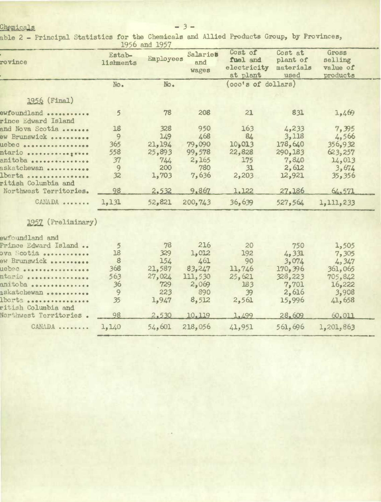## Chemicals

 $-3-$ 

able 2 - Principal Statistics for the Chemicals and Allied Products Group, by Provinces,<br>1956 and 1957

| rovince                            | Estab-<br>lishments | Employees | Salaries<br>and<br>wages | Cost of<br>fuel and<br>electricity<br>at plant | Cost at<br>plant of<br>materials<br>used | Gross<br>selling<br>value of<br>products |  |
|------------------------------------|---------------------|-----------|--------------------------|------------------------------------------------|------------------------------------------|------------------------------------------|--|
|                                    | No.                 | No.       |                          | (ooo's of dollars)                             |                                          |                                          |  |
|                                    |                     |           |                          |                                                |                                          |                                          |  |
| 1956 (Final)                       |                     |           |                          |                                                |                                          |                                          |  |
| ewfoundland<br>rince Edward Island | 5                   | 78        | 208                      | 21                                             | 831                                      | 1,469                                    |  |
| and Nova Scotia                    | 18                  | 328       | 950                      | 163                                            | 4,233                                    | 7,395                                    |  |
| ew Brunswick                       | 9                   | 149       | 468                      | 84                                             | 3,118                                    | 4,566                                    |  |
| uebec                              | 365                 | 21, 194   | 79,090                   | 10,013                                         | 178,640                                  | 356,932                                  |  |
| ntario                             | 558                 | 25,893    | 99,578                   | 22,828                                         | 290, 183                                 | 623, 257                                 |  |
| anitoba                            | 37                  | 744       | 2,165                    | 175                                            | 7,840                                    | 14,013                                   |  |
| askatchewan                        | 9                   | 200       | 780                      | 31                                             | 2,612                                    | 3,674                                    |  |
| lberta<br>ritish Columbia and      | 32                  | 1,703     | 7,636                    | 2,203                                          | 12,921                                   | 35,356                                   |  |
| Northwest Territories.             | 98                  | 2.532     | 9,867                    | 1,122                                          | 27,186                                   | 64.571                                   |  |
| CANADA                             | 1,131               | 52,821    | 200,743                  | 36,639                                         | 527,564                                  | 1,111,233                                |  |
| 1957 (Preliminary)                 |                     |           |                          |                                                |                                          |                                          |  |
| ewfoundland and                    |                     |           |                          |                                                |                                          |                                          |  |
| Prince Edward Island               | $\overline{5}$      | 78        | 216                      | 20                                             | 750                                      | 1,505                                    |  |
| ova Scotia                         | 18                  | 329       | 1,012                    | 192                                            | 4,331                                    | 7,305                                    |  |
| ew Brunswick                       | 8                   | 154       | 461                      | 90                                             | 3,074                                    | 4, 347                                   |  |
| uebec                              | 368                 | 21,587    | 83,247                   | 11,746                                         | 170,396                                  | 361,065                                  |  |
| ntario                             | 563                 | 27,024    | 111,530                  | 25,621                                         | 328,223                                  | 705,842                                  |  |
| anitoba                            | 36                  | 729       | 2,069                    | 183                                            | 7,701                                    | 16,222                                   |  |
| askatchewan                        | 9                   | 223       | 890                      | 39                                             | 2,616                                    | 3,908                                    |  |
| lberta                             | 35                  | 1,947     | 8,512                    | 2,561                                          | 15,996                                   | 41,658                                   |  |
| ritish Columbia and                |                     |           |                          |                                                |                                          |                                          |  |
| Northwest Territories.             | 98                  | 2,530     | 10.119                   | 1.499                                          | 28,609                                   | 60.011                                   |  |
| CANADA                             | 1,140               | 54,601    | 218,056                  | 41,951                                         | 561,696                                  | 1,201,863                                |  |